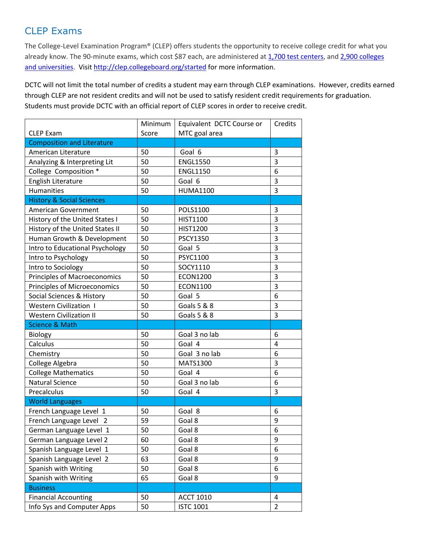## CLEP Exams

The College-Level Examination Program® (CLEP) offers students the opportunity to receive college credit for what you already know. The 90-minute exams, which cost \$87 each, are administered at 1,700 test centers, and 2,900 colleges and universities. Visit http://clep.collegeboard.org/started for more information.

DCTC will not limit the total number of credits a student may earn through CLEP examinations. However, credits earned through CLEP are not resident credits and will not be used to satisfy resident credit requirements for graduation. Students must provide DCTC with an official report of CLEP scores in order to receive credit.

|                                      | Minimum | Equivalent DCTC Course or | Credits        |
|--------------------------------------|---------|---------------------------|----------------|
| <b>CLEP Exam</b>                     | Score   | MTC goal area             |                |
| <b>Composition and Literature</b>    |         |                           |                |
| American Literature                  | 50      | Goal 6                    | 3              |
| Analyzing & Interpreting Lit         | 50      | <b>ENGL1550</b>           | 3              |
| College Composition *                | 50      | <b>ENGL1150</b>           | 6              |
| English Literature                   | 50      | Goal 6                    | 3              |
| <b>Humanities</b>                    | 50      | <b>HUMA1100</b>           | 3              |
| <b>History &amp; Social Sciences</b> |         |                           |                |
| <b>American Government</b>           | 50      | POLS1100                  | 3              |
| History of the United States I       | 50      | <b>HIST1100</b>           | 3              |
| History of the United States II      | 50      | <b>HIST1200</b>           | 3              |
| Human Growth & Development           | 50      | <b>PSCY1350</b>           | 3              |
| Intro to Educational Psychology      | 50      | Goal 5                    | 3              |
| Intro to Psychology                  | 50      | PSYC1100                  | 3              |
| Intro to Sociology                   | 50      | SOCY1110                  | 3              |
| <b>Principles of Macroeconomics</b>  | 50      | <b>ECON1200</b>           | 3              |
| <b>Principles of Microeconomics</b>  | 50      | <b>ECON1100</b>           | 3              |
| Social Sciences & History            | 50      | Goal 5                    | 6              |
| <b>Western Civilization 1</b>        | 50      | <b>Goals 5 &amp; 8</b>    | 3              |
| <b>Western Civilization II</b>       | 50      | <b>Goals 5 &amp; 8</b>    | 3              |
| <b>Science &amp; Math</b>            |         |                           |                |
| <b>Biology</b>                       | 50      | Goal 3 no lab             | 6              |
| Calculus                             | 50      | Goal 4                    | 4              |
| Chemistry                            | 50      | Goal 3 no lab             | 6              |
| College Algebra                      | 50      | MATS1300                  | 3              |
| <b>College Mathematics</b>           | 50      | Goal 4                    | 6              |
| <b>Natural Science</b>               | 50      | Goal 3 no lab             | 6              |
| Precalculus                          | 50      | Goal 4                    | 3              |
| <b>World Languages</b>               |         |                           |                |
| French Language Level 1              | 50      | Goal 8                    | 6              |
| French Language Level 2              | 59      | Goal 8                    | 9              |
| German Language Level 1              | 50      | Goal 8                    | 6              |
| German Language Level 2              | 60      | Goal 8                    | 9              |
| Spanish Language Level 1             | 50      | Goal 8                    | 6              |
| Spanish Language Level 2             | 63      | Goal 8                    | 9              |
| Spanish with Writing                 | 50      | Goal 8                    | 6              |
| Spanish with Writing                 | 65      | Goal 8                    | 9              |
| <b>Business</b>                      |         |                           |                |
| <b>Financial Accounting</b>          | 50      | <b>ACCT 1010</b>          | 4              |
| Info Sys and Computer Apps           | 50      | <b>ISTC 1001</b>          | $\overline{2}$ |